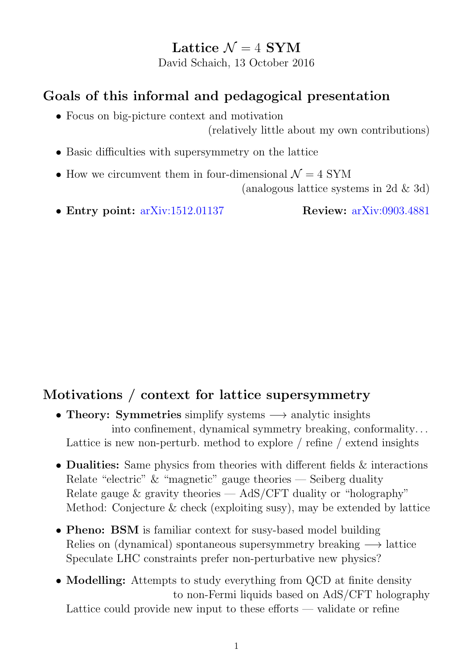## Lattice  $\mathcal{N} = 4$  SYM

David Schaich, 13 October 2016

# Goals of this informal and pedagogical presentation

• Focus on big-picture context and motivation

(relatively little about my own contributions)

- Basic difficulties with supersymmetry on the lattice
- How we circumvent them in four-dimensional  $\mathcal{N} = 4$  SYM

(analogous lattice systems in 2d & 3d)

• Entry point: [arXiv:1512.01137](http://arxiv.org/abs/1512.01137) Review: [arXiv:0903.4881](http://arxiv.org/abs/0903.4881)

# Motivations / context for lattice supersymmetry

- Theory: Symmetries simplify systems  $\rightarrow$  analytic insights into confinement, dynamical symmetry breaking, conformality. . . Lattice is new non-perturb. method to explore / refine / extend insights
- Dualities: Same physics from theories with different fields  $\&$  interactions Relate "electric"  $\&$  "magnetic" gauge theories — Seiberg duality Relate gauge  $\&$  gravity theories  $-$  AdS/CFT duality or "holography" Method: Conjecture & check (exploiting susy), may be extended by lattice
- Pheno: BSM is familiar context for susy-based model building Relies on (dynamical) spontaneous supersymmetry breaking  $\rightarrow$  lattice Speculate LHC constraints prefer non-perturbative new physics?
- Modelling: Attempts to study everything from QCD at finite density to non-Fermi liquids based on AdS/CFT holography Lattice could provide new input to these efforts — validate or refine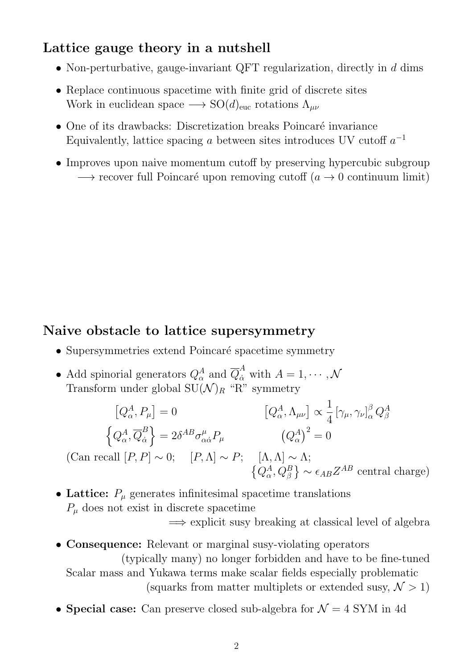## Lattice gauge theory in a nutshell

- Non-perturbative, gauge-invariant QFT regularization, directly in  $d$  dims
- Replace continuous spacetime with finite grid of discrete sites Work in euclidean space  $\longrightarrow SO(d)_{\text{euc}}$  rotations  $\Lambda_{\mu\nu}$
- $\bullet$  One of its drawbacks: Discretization breaks Poincaré invariance Equivalently, lattice spacing a between sites introduces UV cutoff  $a^{-1}$
- Improves upon naive momentum cutoff by preserving hypercubic subgroup  $\rightarrow$  recover full Poincaré upon removing cutoff (a  $\rightarrow$  0 continuum limit)

#### Naive obstacle to lattice supersymmetry

- Supersymmetries extend Poincaré spacetime symmetry
- Add spinorial generators  $Q^A_\alpha$  and  $\overline{Q}^A_{\dot{\alpha}}$  with  $A = 1, \cdots, \mathcal{N}$ Transform under global  $SU(N)_R$  "R" symmetry

$$
[Q_{\alpha}^{A}, P_{\mu}] = 0
$$

$$
[Q_{\alpha}^{A}, \Lambda_{\mu\nu}] \propto \frac{1}{4} [\gamma_{\mu}, \gamma_{\nu}]_{\alpha}^{\beta} Q_{\beta}^{A}
$$

$$
\left\{ Q_{\alpha}^{A}, \overline{Q}_{\dot{\alpha}}^{B} \right\} = 2\delta^{AB} \sigma_{\alpha\dot{\alpha}}^{\mu} P_{\mu}
$$

$$
(Q_{\alpha}^{A})^{2} = 0
$$

$$
(\text{Can recall } [P, P] \sim 0; [P, \Lambda] \sim P; [\Lambda, \Lambda] \sim \Lambda;
$$

$$
\left\{ Q_{\alpha}^{A}, Q_{\beta}^{B} \right\} \sim \epsilon_{AB} Z^{AB} \text{ central charge})
$$

• Lattice:  $P_{\mu}$  generates infinitesimal spacetime translations  $P_{\mu}$  does not exist in discrete spacetime

 $\implies$  explicit susy breaking at classical level of algebra

- Consequence: Relevant or marginal susy-violating operators (typically many) no longer forbidden and have to be fine-tuned Scalar mass and Yukawa terms make scalar fields especially problematic (squarks from matter multiplets or extended susy,  $\mathcal{N} > 1$ )
- Special case: Can preserve closed sub-algebra for  $\mathcal{N}=4$  SYM in 4d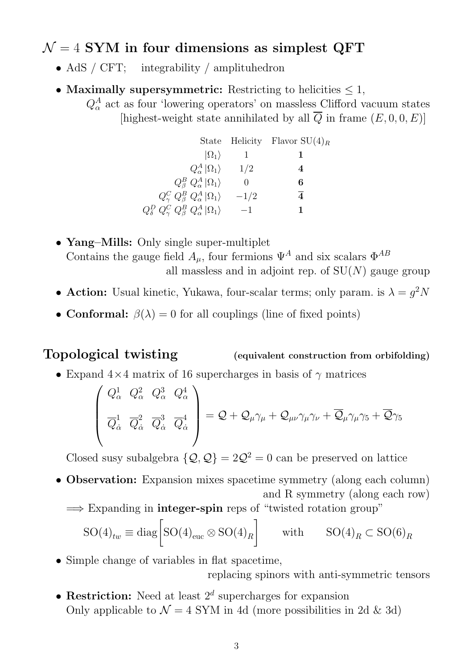## $\mathcal{N} = 4$  SYM in four dimensions as simplest QFT

- AdS / CFT; integrability / amplituhedron
- Maximally supersymmetric: Restricting to helicities  $\leq 1$ ,

 $Q^A_\alpha$  act as four 'lowering operators' on massless Clifford vacuum states [highest-weight state annihilated by all  $\overline{Q}$  in frame  $(E, 0, 0, E)$ ]

|                                                                       |        | State Helicity Flavor $SU(4)_R$ |
|-----------------------------------------------------------------------|--------|---------------------------------|
| $ \Omega_1\rangle$                                                    |        |                                 |
| $Q^A_\alpha  \Omega_1\rangle$                                         | 1/2    | 4                               |
| $Q^B_\beta$ $Q^A_\alpha  \Omega_1\rangle$                             |        | 6                               |
| $Q^C_\gamma Q^B_\beta Q^A_\alpha  \Omega_1\rangle$                    | $-1/2$ | 4                               |
| $Q_{\delta}^D Q_{\gamma}^C Q_{\beta}^B Q_{\alpha}^A  \Omega_1\rangle$ | $-1$   |                                 |

- Yang–Mills: Only single super-multiplet Contains the gauge field  $A_{\mu}$ , four fermions  $\Psi^{A}$  and six scalars  $\Phi^{AB}$ all massless and in adjoint rep. of  $SU(N)$  gauge group
- Action: Usual kinetic, Yukawa, four-scalar terms; only param. is  $\lambda = g^2 N$
- Conformal:  $\beta(\lambda) = 0$  for all couplings (line of fixed points)

Topological twisting (equivalent construction from orbifolding)

• Expand  $4\times 4$  matrix of 16 supercharges in basis of  $\gamma$  matrices

$$
\begin{pmatrix} Q_{\alpha}^1 & Q_{\alpha}^2 & Q_{\alpha}^3 & Q_{\alpha}^4 \\ \overline{Q}_{\dot{\alpha}}^1 & \overline{Q}_{\dot{\alpha}}^2 & \overline{Q}_{\dot{\alpha}}^3 & \overline{Q}_{\dot{\alpha}}^4 \end{pmatrix} = Q + Q_{\mu}\gamma_{\mu} + Q_{\mu\nu}\gamma_{\mu}\gamma_{\nu} + \overline{Q}_{\mu}\gamma_{\mu}\gamma_{5} + \overline{Q}\gamma_{5}
$$

Closed susy subalgebra  $\{Q, Q\} = 2Q^2 = 0$  can be preserved on lattice

- Observation: Expansion mixes spacetime symmetry (along each column) and R symmetry (along each row)
	- $\implies$  Expanding in **integer-spin** reps of "twisted rotation group"

$$
SO(4)_{tw} \equiv \text{diag}\left[SO(4)_{\text{euc}} \otimes SO(4)_R\right] \qquad \text{with} \qquad SO(4)_R \subset SO(6)_R
$$

- Simple change of variables in flat spacetime, replacing spinors with anti-symmetric tensors
- Restriction: Need at least  $2^d$  supercharges for expansion Only applicable to  $\mathcal{N} = 4$  SYM in 4d (more possibilities in 2d & 3d)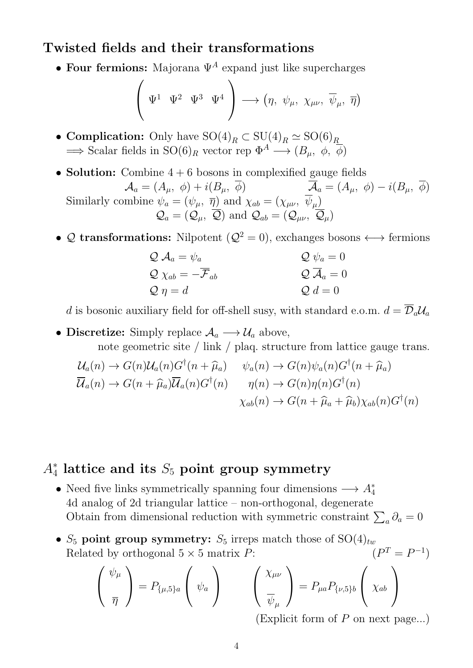#### Twisted fields and their transformations

• Four fermions: Majorana  $\Psi^A$  expand just like supercharges

$$
\left(\begin{array}{cc} \Psi^1 & \Psi^2 & \Psi^3 & \Psi^4 \end{array}\right) \longrightarrow \left(\eta, \psi_\mu, \chi_{\mu\nu}, \overline{\psi}_\mu, \overline{\eta}\right)
$$

- Complication: Only have  $\mathrm{SO}(4)_R \subset \mathrm{SU}(4)_R \simeq \mathrm{SO}(6)_R$  $\Rightarrow$  Scalar fields in SO(6)<sub>R</sub> vector rep  $\Phi^A \longrightarrow (B_u, \phi, \overline{\phi})$
- Solution: Combine  $4 + 6$  bosons in complexified gauge fields  $\mathcal{A}_a = (A_\mu, \phi) + i(B_\mu, \overline{\phi})$   $\overline{\mathcal{A}}_a = (A_\mu, \phi) - i(B_\mu, \overline{\phi})$ Similarly combine  $\psi_a = (\psi_\mu, \ \overline{\eta})$  and  $\chi_{ab} = (\chi_{\mu\nu}, \ \psi_\mu)$  $\mathcal{Q}_a = (\mathcal{Q}_\mu, \overline{\mathcal{Q}})$  and  $\mathcal{Q}_{ab} = (\mathcal{Q}_{\mu\nu}, \overline{\mathcal{Q}}_{\mu})$
- Q transformations: Nilpotent ( $\mathcal{Q}^2 = 0$ ), exchanges bosons  $\longleftrightarrow$  fermions

$$
Q \mathcal{A}_a = \psi_a
$$
  
\n
$$
Q \psi_a = 0
$$
  
\n
$$
Q \psi_a = 0
$$
  
\n
$$
Q \mathcal{A}_a = 0
$$
  
\n
$$
Q \mathcal{A}_a = 0
$$
  
\n
$$
Q d = 0
$$

d is bosonic auxiliary field for off-shell susy, with standard e.o.m.  $d = \overline{\mathcal{D}}_a \mathcal{U}_a$ 

• Discretize: Simply replace  $A_a \longrightarrow U_a$  above,

note geometric site / link / plaq. structure from lattice gauge trans.

$$
\mathcal{U}_a(n) \to G(n)\mathcal{U}_a(n)G^{\dagger}(n+\hat{\mu}_a) \qquad \psi_a(n) \to G(n)\psi_a(n)G^{\dagger}(n+\hat{\mu}_a)
$$
  

$$
\overline{\mathcal{U}}_a(n) \to G(n+\hat{\mu}_a)\overline{\mathcal{U}}_a(n)G^{\dagger}(n) \qquad \eta(n) \to G(n)\eta(n)G^{\dagger}(n)
$$
  

$$
\chi_{ab}(n) \to G(n+\hat{\mu}_a+\hat{\mu}_b)\chi_{ab}(n)G^{\dagger}(n)
$$

# $A_4^*$  lattice and its  $S_5$  point group symmetry

- Need five links symmetrically spanning four dimensions  $\longrightarrow A_4^*$ 4d analog of 2d triangular lattice – non-orthogonal, degenerate Obtain from dimensional reduction with symmetric constraint  $\sum_a \partial_a = 0$
- $S_5$  point group symmetry:  $S_5$  irreps match those of  $SO(4)_{tw}$ Related by orthogonal  $5 \times 5$  matrix P:  $T = P^{-1}$

$$
\begin{pmatrix} \psi_{\mu} \\ \overline{\eta} \end{pmatrix} = P_{\{\mu,5\}a} \begin{pmatrix} \psi_{a} \\ \psi_{a} \end{pmatrix} \qquad \begin{pmatrix} \chi_{\mu\nu} \\ \overline{\psi}_{\mu} \end{pmatrix} = P_{\mu a} P_{\{\nu,5\}b} \begin{pmatrix} \chi_{ab} \\ \chi_{ab} \end{pmatrix}
$$

(Explicit form of  $P$  on next page...)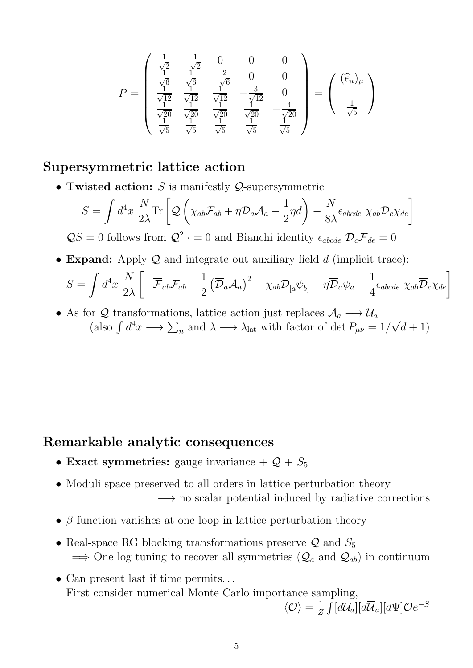$$
P = \begin{pmatrix} \frac{1}{\sqrt{2}} & -\frac{1}{\sqrt{2}} & 0 & 0 & 0\\ \frac{1}{\sqrt{6}} & \frac{1}{\sqrt{6}} & -\frac{2}{\sqrt{6}} & 0 & 0\\ \frac{1}{\sqrt{12}} & \frac{1}{\sqrt{12}} & \frac{1}{\sqrt{12}} & -\frac{3}{\sqrt{12}} & 0\\ \frac{1}{\sqrt{20}} & \frac{1}{\sqrt{20}} & \frac{1}{\sqrt{20}} & \frac{1}{\sqrt{20}} & -\frac{4}{\sqrt{20}}\\ \frac{1}{\sqrt{5}} & \frac{1}{\sqrt{5}} & \frac{1}{\sqrt{5}} & \frac{1}{\sqrt{5}} & \frac{1}{\sqrt{5}} \end{pmatrix} = \begin{pmatrix} (\hat{e}_a)_{\mu} \\ \frac{1}{\sqrt{5}} \end{pmatrix}
$$

#### Supersymmetric lattice action

• Twisted action:  $S$  is manifestly  $Q$ -supersymmetric

$$
S = \int d^4x \frac{N}{2\lambda} \text{Tr} \left[ \mathcal{Q} \left( \chi_{ab} \mathcal{F}_{ab} + \eta \overline{\mathcal{D}}_a \mathcal{A}_a - \frac{1}{2} \eta d \right) - \frac{N}{8\lambda} \epsilon_{abcde} \ \chi_{ab} \overline{\mathcal{D}}_c \chi_{de} \right]
$$
  

$$
\mathcal{Q}S = 0 \text{ follows from } \mathcal{Q}^2 \cdot = 0 \text{ and Bianchi identity } \epsilon_{abcde} \ \overline{\mathcal{D}}_c \overline{\mathcal{F}}_{de} = 0
$$

• Expand: Apply  $Q$  and integrate out auxiliary field  $d$  (implicit trace):

$$
S = \int d^4x \, \frac{N}{2\lambda} \left[ -\overline{\mathcal{F}}_{ab} \mathcal{F}_{ab} + \frac{1}{2} \left( \overline{\mathcal{D}}_a \mathcal{A}_a \right)^2 - \chi_{ab} \mathcal{D}_{[a} \psi_{b]} - \eta \overline{\mathcal{D}}_a \psi_a - \frac{1}{4} \epsilon_{abcde} \, \chi_{ab} \overline{\mathcal{D}}_c \chi_{de} \right]
$$

• As for Q transformations, lattice action just replaces  $A_a \longrightarrow U_a$ (also  $\int d^4x \longrightarrow \sum_n$  and  $\lambda \longrightarrow \lambda_{\text{lat}}$  with factor of det  $P_{\mu\nu} = 1/$ √  $(d+1)$ 

#### Remarkable analytic consequences

- Exact symmetries: gauge invariance  $+Q + S_5$
- Moduli space preserved to all orders in lattice perturbation theory  $\rightarrow$  no scalar potential induced by radiative corrections
- $\beta$  function vanishes at one loop in lattice perturbation theory
- Real-space RG blocking transformations preserve  $\mathcal{Q}$  and  $S_5$  $\implies$  One log tuning to recover all symmetries  $(Q_a \text{ and } Q_{ab})$  in continuum
- Can present last if time permits. . . First consider numerical Monte Carlo importance sampling,

$$
\langle \mathcal{O} \rangle = \frac{1}{Z} \int [d\mathcal{U}_a][d\overline{\mathcal{U}}_a][d\Psi] \mathcal{O}e^{-S}
$$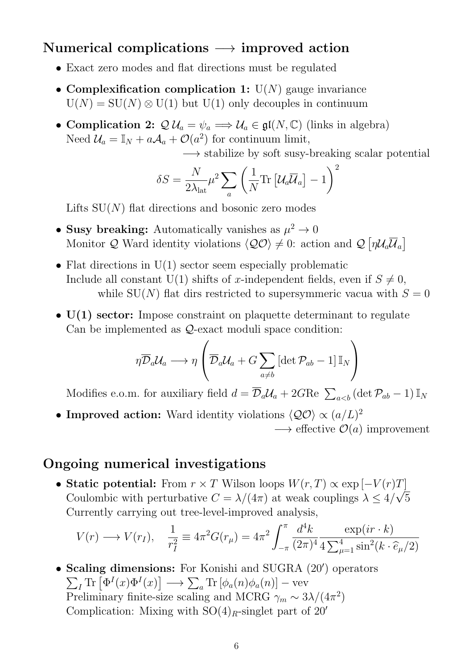## Numerical complications  $\rightarrow$  improved action

- Exact zero modes and flat directions must be regulated
- Complexification complication 1:  $U(N)$  gauge invariance  $U(N) = SU(N) \otimes U(1)$  but  $U(1)$  only decouples in continuum
- Complication 2:  $\mathcal{Q} \mathcal{U}_a = \psi_a \Longrightarrow \mathcal{U}_a \in \mathfrak{gl}(N, \mathbb{C})$  (links in algebra) Need  $\mathcal{U}_a = \mathbb{I}_N + a\mathcal{A}_a + \mathcal{O}(a^2)$  for continuum limit,

−→ stabilize by soft susy-breaking scalar potential

$$
\delta S = \frac{N}{2\lambda_{\mathrm{lat}}} \mu^2 \sum_a \left(\frac{1}{N} \mathrm{Tr}\left[\mathcal{U}_a \overline{\mathcal{U}}_a\right] - 1\right)^2
$$

Lifts  $SU(N)$  flat directions and bosonic zero modes

- Susy breaking: Automatically vanishes as  $\mu^2 \to 0$ Monitor Q Ward identity violations  $\langle \mathcal{Q} \mathcal{O} \rangle \neq 0$ : action and  $\mathcal{Q}[\eta \mathcal{U}_a \overline{\mathcal{U}}_a]$
- Flat directions in  $U(1)$  sector seem especially problematic Include all constant U(1) shifts of x-independent fields, even if  $S \neq 0$ , while  $SU(N)$  flat dirs restricted to supersymmeric vacua with  $S=0$
- $U(1)$  sector: Impose constraint on plaquette determinant to regulate Can be implemented as Q-exact moduli space condition:

$$
\eta\overline{\mathcal{D}}_a\mathcal{U}_a\longrightarrow \eta\left(\overline{\mathcal{D}}_a\mathcal{U}_a+G\sum_{a\neq b}\left[\det\mathcal{P}_{ab}-1\right]\mathbb{I}_N\right)
$$

Modifies e.o.m. for auxiliary field  $d = \overline{\mathcal{D}}_a \mathcal{U}_a + 2G \text{Re} \sum_{a$ 

• Improved action: Ward identity violations  $\langle \mathcal{Q} \mathcal{O} \rangle \propto (a/L)^2$  $\longrightarrow$  effective  $\mathcal{O}(a)$  improvement

#### Ongoing numerical investigations

• Static potential: From  $r \times T$  Wilson loops  $W(r, T) \propto \exp[-V(r)T]$ Coulombic with perturbative  $C = \lambda/(4\pi)$  at weak couplings  $\lambda \leq 4/\sqrt{5}$ Currently carrying out tree-level-improved analysis,

$$
V(r) \longrightarrow V(r_I), \quad \frac{1}{r_I^2} \equiv 4\pi^2 G(r_\mu) = 4\pi^2 \int_{-\pi}^{\pi} \frac{d^4k}{(2\pi)^4} \frac{\exp(ir \cdot k)}{4 \sum_{\mu=1}^4 \sin^2(k \cdot \hat{e}_\mu/2)}
$$

• Scaling dimensions: For Konishi and SUGRA (20') operators  $\sum_I \text{Tr} \left[ \Phi^I(x) \Phi^I(x) \right] \longrightarrow \sum_a \text{Tr} \left[ \phi_a(n) \phi_a(n) \right] - \text{vev}$ Preliminary finite-size scaling and MCRG  $\gamma_m \sim 3\lambda/(4\pi^2)$ Complication: Mixing with  $SO(4)_R$ -singlet part of 20'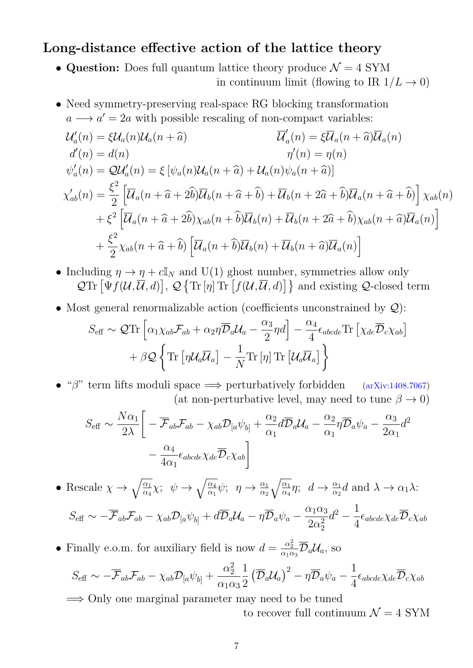#### Long-distance effective action of the lattice theory

- Question: Does full quantum lattice theory produce  $\mathcal{N} = 4$  SYM in continuum limit (flowing to IR  $1/L \rightarrow 0$ )
- Need symmetry-preserving real-space RG blocking transformation  $a \rightarrow a' = 2a$  with possible rescaling of non-compact variables:

$$
\mathcal{U}'_a(n) = \xi \mathcal{U}_a(n) \mathcal{U}_a(n + \hat{a}) \qquad \overline{\mathcal{U}}'_a(n) = \xi \overline{\mathcal{U}}_a(n + \hat{a}) \mathcal{U}_a(n)
$$
  
\n
$$
d'(n) = d(n) \qquad \eta'(n) = \eta(n)
$$
  
\n
$$
\psi'_a(n) = \mathcal{Q} \mathcal{U}'_a(n) = \xi [\psi_a(n) \mathcal{U}_a(n + \hat{a}) + \mathcal{U}_a(n) \psi_a(n + \hat{a})]
$$
  
\n
$$
\chi'_{ab}(n) = \frac{\xi^2}{2} \left[ \overline{\mathcal{U}}_a(n + \hat{a} + 2\hat{b}) \overline{\mathcal{U}}_b(n + \hat{a} + \hat{b}) + \overline{\mathcal{U}}_b(n + 2\hat{a} + \hat{b}) \overline{\mathcal{U}}_a(n + \hat{a} + \hat{b}) \right] \chi_{ab}(n)
$$
  
\n
$$
+ \xi^2 \left[ \overline{\mathcal{U}}_a(n + \hat{a} + 2\hat{b}) \chi_{ab}(n + \hat{b}) \overline{\mathcal{U}}_b(n) + \overline{\mathcal{U}}_b(n + 2\hat{a} + \hat{b}) \chi_{ab}(n + \hat{a}) \overline{\mathcal{U}}_a(n) \right]
$$
  
\n
$$
+ \frac{\xi^2}{2} \chi_{ab}(n + \hat{a} + \hat{b}) \left[ \overline{\mathcal{U}}_a(n + \hat{b}) \overline{\mathcal{U}}_b(n) + \overline{\mathcal{U}}_b(n + \hat{a}) \overline{\mathcal{U}}_a(n) \right]
$$

- Including  $\eta \to \eta + c \mathbb{I}_N$  and U(1) ghost number, symmetries allow only  $\mathcal{Q}\text{Tr}\left[\Psi f(\mathcal{U},\overline{\mathcal{U}},d)\right],\,\mathcal{Q}\left\{\text{Tr}\left[\eta\right]\text{Tr}\left[f(\mathcal{U},\overline{\mathcal{U}},d)\right]\right\}$  and existing  $\mathcal{Q}\text{-closed term}$
- Most general renormalizable action (coefficients unconstrained by  $\mathcal{Q}$ ):

$$
S_{\text{eff}} \sim \mathcal{Q}\text{Tr}\left[\alpha_1 \chi_{ab} \mathcal{F}_{ab} + \alpha_2 \eta \overline{\mathcal{D}}_a \mathcal{U}_a - \frac{\alpha_3}{2} \eta d\right] - \frac{\alpha_4}{4} \epsilon_{abcde} \text{Tr}\left[\chi_{de} \overline{\mathcal{D}}_c \chi_{ab}\right] + \beta \mathcal{Q}\left\{\text{Tr}\left[\eta \mathcal{U}_a \overline{\mathcal{U}}_a\right] - \frac{1}{N} \text{Tr}\left[\eta\right] \text{Tr}\left[\mathcal{U}_a \overline{\mathcal{U}}_a\right]\right\}
$$

• " $\beta$ " term lifts moduli space  $\implies$  perturbatively forbidden [\(arXiv:1408.7067\)](http://arxiv.org/abs/1408.7067) (at non-perturbative level, may need to tune  $\beta \to 0$ )

$$
S_{\text{eff}} \sim \frac{N\alpha_1}{2\lambda} \left[ -\overline{\mathcal{F}}_{ab} \mathcal{F}_{ab} - \chi_{ab} \mathcal{D}_{[a} \psi_{b]} + \frac{\alpha_2}{\alpha_1} d\overline{\mathcal{D}}_a \mathcal{U}_a - \frac{\alpha_2}{\alpha_1} \eta \overline{\mathcal{D}}_a \psi_a - \frac{\alpha_3}{2\alpha_1} d^2 - \frac{\alpha_4}{4\alpha_1} \epsilon_{abcde} \chi_{de} \overline{\mathcal{D}}_c \chi_{ab} \right]
$$

• Rescale  $\chi \rightarrow \sqrt{\frac{\alpha_1}{\alpha_2}}$  $\frac{\overline{\alpha_1}}{\overline{\alpha_4}}\chi; \psi \rightarrow \sqrt{\frac{\alpha_4}{\alpha_1}}$  $\frac{\alpha_4}{\alpha_1}\psi$ ;  $\eta \to \frac{\alpha_1}{\alpha_2}$  $\sqrt{\underline{\alpha_1}}$  $\frac{\alpha_1}{\alpha_4}\eta$ ;  $d \to \frac{\alpha_1}{\alpha_2}d$  and  $\lambda \to \alpha_1\lambda$ :  $S_{\text{eff}} \sim -\overline{\mathcal{F}}_{ab}\mathcal{F}_{ab} - \chi_{ab}\mathcal{D}_{[a}\psi_{b]} + d\overline{\mathcal{D}}_{a}\mathcal{U}_{a} - \eta\overline{\mathcal{D}}_{a}\psi_{a} \alpha_1\alpha_3$  $2\alpha_2^2$ 2  $d^2 - \frac{1}{4}$ 4  $\epsilon_{abcde}\chi_{de}\overline{\mathcal{D}}_c\chi_{ab}$ 

• Finally e.o.m. for auxiliary field is now  $d = \frac{\alpha_2^2}{\alpha_1 \alpha_3} \overline{\mathcal{D}}_a \mathcal{U}_a$ , so

$$
S_{\text{eff}} \sim -\overline{\mathcal{F}}_{ab} \mathcal{F}_{ab} - \chi_{ab} \mathcal{D}_{[a} \psi_{b]} + \frac{\alpha_2^2}{\alpha_1 \alpha_3^2} \frac{1}{2} \left( \overline{\mathcal{D}}_a \mathcal{U}_a \right)^2 - \eta \overline{\mathcal{D}}_a \psi_a - \frac{1}{4} \epsilon_{abcde} \chi_{de} \overline{\mathcal{D}}_c \chi_{ab}
$$

=⇒ Only one marginal parameter may need to be tuned to recover full continuum  $\mathcal{N}=4$  SYM